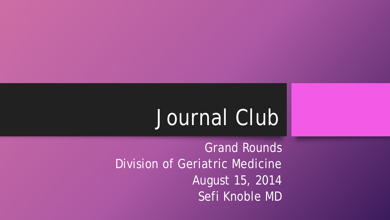# Journal Club

Grand Rounds Division of Geriatric Medicine August 15, 2014 Sefi Knoble MD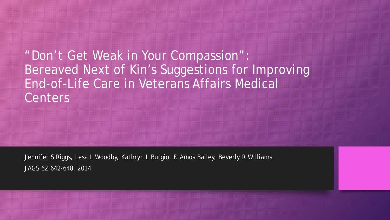"Don't Get Weak in Your Compassion": Bereaved Next of Kin's Suggestions for Improving End-of-Life Care in Veterans Affairs Medical **Centers** 

Jennifer S Riggs, Lesa L Woodby, Kathryn L Burgio, F. Amos Bailey, Beverly R Williams JAGS 62:642-648, 2014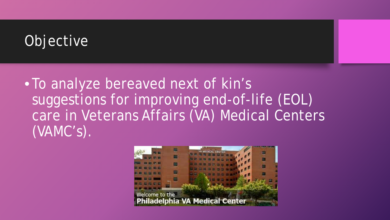## **Objective**

• To analyze bereaved next of kin's suggestions for improving end-of-life (EOL) care in Veterans Affairs (VA) Medical Centers (VAMC's).

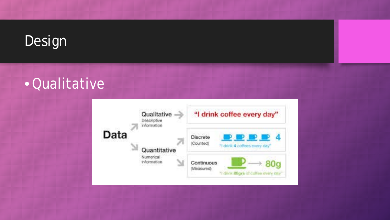

#### **•Qualitative**

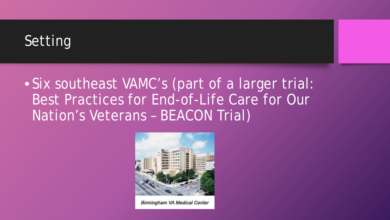## Setting

#### • Six southeast VAMC's (part of a larger trial: Best Practices for End-of-Life Care for Our Nation's Veterans – BEACON Trial)



Birmingham VA Medical Center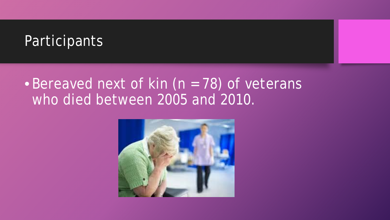#### **Participants**

#### • Bereaved next of kin (n = 78) of veterans who died between 2005 and 2010.

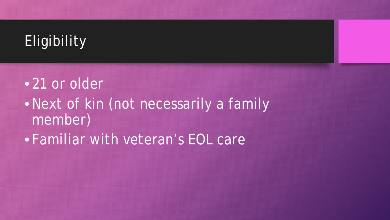

## •21 or older •Next of kin (not necessarily a family member) • Familiar with veteran's EOL care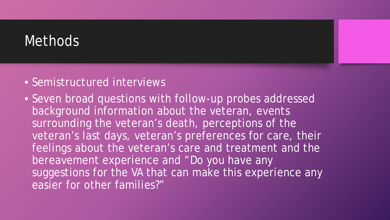#### **Methods**

- Semistructured interviews
- Seven broad questions with follow-up probes addressed background information about the veteran, events surrounding the veteran's death, perceptions of the veteran's last days, veteran's preferences for care, their feelings about the veteran's care and treatment and the bereavement experience and "Do you have any suggestions for the VA that can make this experience any easier for other families?"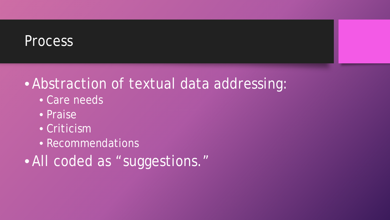#### **Process**

#### • Abstraction of textual data addressing:

- Care needs
- Praise
- Criticism
- Recommendations
- All coded as "suggestions."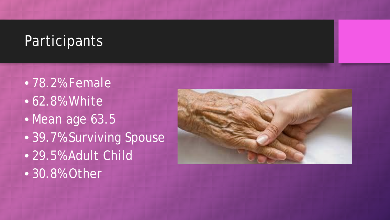#### **Participants**

• 78.2% Female • 62.8% White • Mean age 63.5 • 39.7% Surviving Spouse • 29.5% Adult Child • 30.8% Other

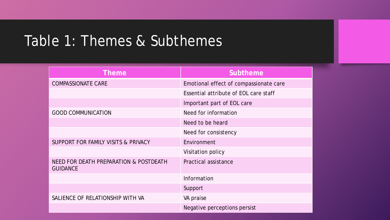#### Table 1: Themes & Subthemes

| <b>Theme</b>                                              | <b>Subtheme</b>                        |
|-----------------------------------------------------------|----------------------------------------|
| <b>COMPASSIONATE CARE</b>                                 | Emotional effect of compassionate care |
|                                                           | Essential attribute of EOL care staff  |
|                                                           | Important part of EOL care             |
| <b>GOOD COMMUNICATION</b>                                 | Need for information                   |
|                                                           | Need to be heard                       |
|                                                           | Need for consistency                   |
| SUPPORT FOR FAMILY VISITS & PRIVACY                       | Environment                            |
|                                                           | Visitation policy                      |
| NEED FOR DEATH PREPARATION & POSTDEATH<br><b>GUIDANCE</b> | Practical assistance                   |
|                                                           | Information                            |
|                                                           | Support                                |
| SALIENCE OF RELATIONSHIP WITH VA                          | VA praise                              |
|                                                           | Negative perceptions persist           |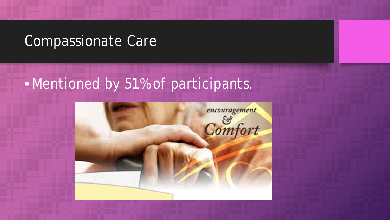#### Compassionate Care

### • Mentioned by 51% of participants.

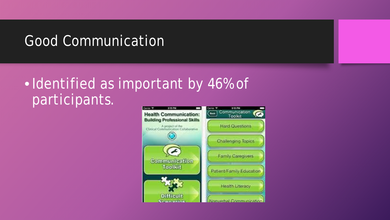#### Good Communication

## •Identified as important by 46% of participants.

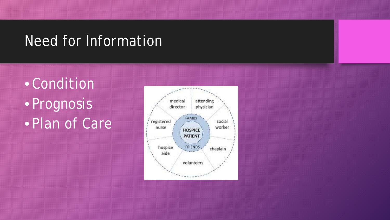#### Need for Information

• Condition • Prognosis • Plan of Care

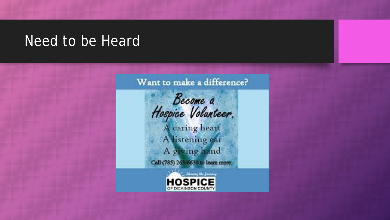#### Need to be Heard

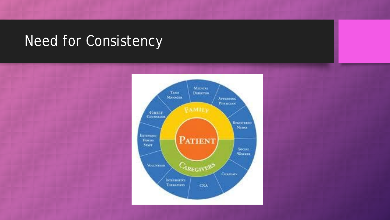#### Need for Consistency

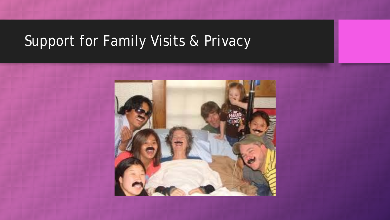## Support for Family Visits & Privacy

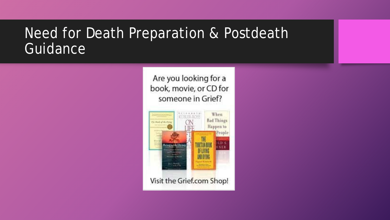#### Need for Death Preparation & Postdeath Guidance

Are you looking for a book, movie, or CD for someone in Grief?

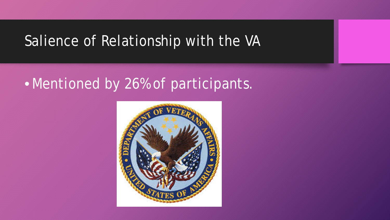#### Salience of Relationship with the VA

### • Mentioned by 26% of participants.

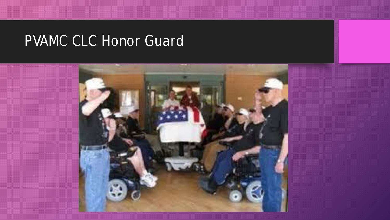## PVAMC CLC Honor Guard

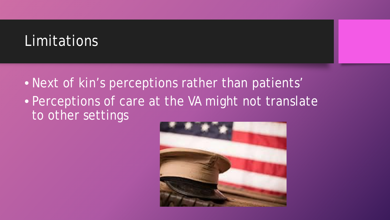#### **Limitations**

• Next of kin's perceptions rather than patients' • Perceptions of care at the VA might not translate to other settings

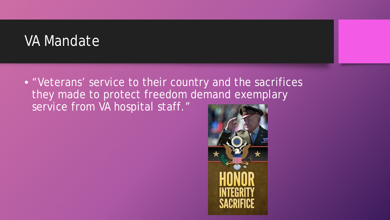#### VA Mandate

• "Veterans' service to their country and the sacrifices they made to protect freedom demand exemplary service from VA hospital staff."